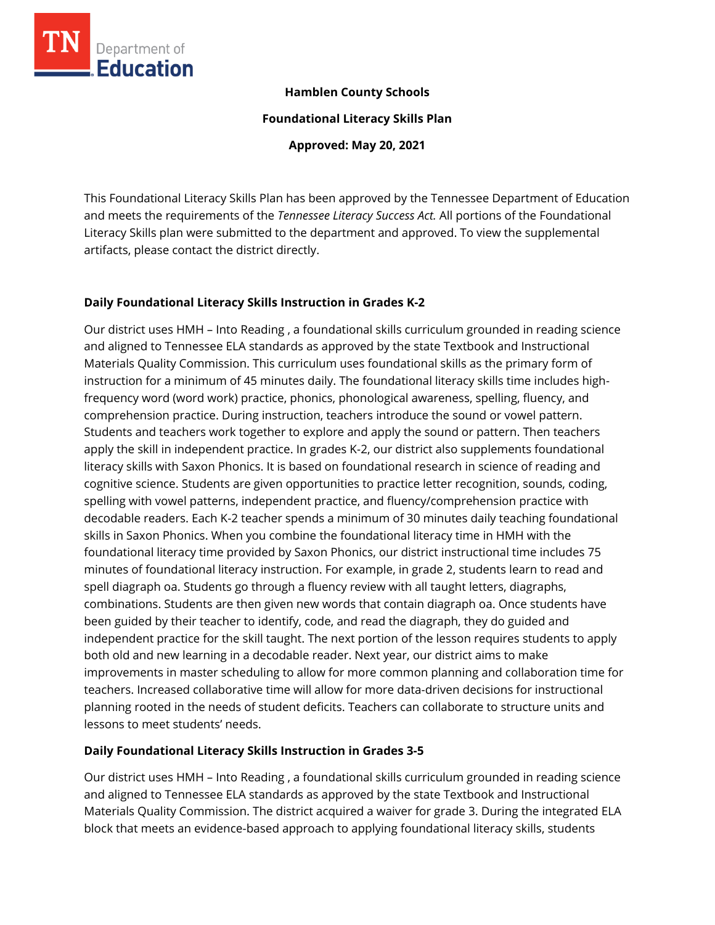

### **Hamblen County Schools**

**Foundational Literacy Skills Plan**

**Approved: May 20, 2021**

This Foundational Literacy Skills Plan has been approved by the Tennessee Department of Education and meets the requirements of the *Tennessee Literacy Success Act.* All portions of the Foundational Literacy Skills plan were submitted to the department and approved. To view the supplemental artifacts, please contact the district directly.

### **Daily Foundational Literacy Skills Instruction in Grades K-2**

Our district uses HMH – Into Reading , a foundational skills curriculum grounded in reading science and aligned to Tennessee ELA standards as approved by the state Textbook and Instructional Materials Quality Commission. This curriculum uses foundational skills as the primary form of instruction for a minimum of 45 minutes daily. The foundational literacy skills time includes highfrequency word (word work) practice, phonics, phonological awareness, spelling, fluency, and comprehension practice. During instruction, teachers introduce the sound or vowel pattern. Students and teachers work together to explore and apply the sound or pattern. Then teachers apply the skill in independent practice. In grades K-2, our district also supplements foundational literacy skills with Saxon Phonics. It is based on foundational research in science of reading and cognitive science. Students are given opportunities to practice letter recognition, sounds, coding, spelling with vowel patterns, independent practice, and fluency/comprehension practice with decodable readers. Each K-2 teacher spends a minimum of 30 minutes daily teaching foundational skills in Saxon Phonics. When you combine the foundational literacy time in HMH with the foundational literacy time provided by Saxon Phonics, our district instructional time includes 75 minutes of foundational literacy instruction. For example, in grade 2, students learn to read and spell diagraph oa. Students go through a fluency review with all taught letters, diagraphs, combinations. Students are then given new words that contain diagraph oa. Once students have been guided by their teacher to identify, code, and read the diagraph, they do guided and independent practice for the skill taught. The next portion of the lesson requires students to apply both old and new learning in a decodable reader. Next year, our district aims to make improvements in master scheduling to allow for more common planning and collaboration time for teachers. Increased collaborative time will allow for more data-driven decisions for instructional planning rooted in the needs of student deficits. Teachers can collaborate to structure units and lessons to meet students' needs.

### **Daily Foundational Literacy Skills Instruction in Grades 3-5**

Our district uses HMH – Into Reading , a foundational skills curriculum grounded in reading science and aligned to Tennessee ELA standards as approved by the state Textbook and Instructional Materials Quality Commission. The district acquired a waiver for grade 3. During the integrated ELA block that meets an evidence-based approach to applying foundational literacy skills, students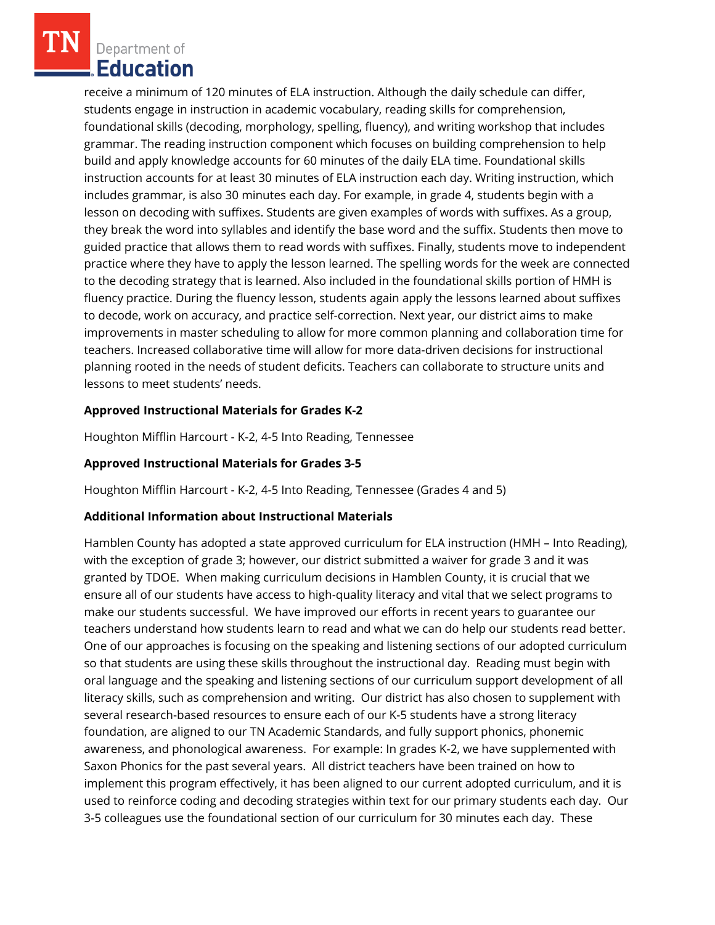receive a minimum of 120 minutes of ELA instruction. Although the daily schedule can differ, students engage in instruction in academic vocabulary, reading skills for comprehension, foundational skills (decoding, morphology, spelling, fluency), and writing workshop that includes grammar. The reading instruction component which focuses on building comprehension to help build and apply knowledge accounts for 60 minutes of the daily ELA time. Foundational skills instruction accounts for at least 30 minutes of ELA instruction each day. Writing instruction, which includes grammar, is also 30 minutes each day. For example, in grade 4, students begin with a lesson on decoding with suffixes. Students are given examples of words with suffixes. As a group, they break the word into syllables and identify the base word and the suffix. Students then move to guided practice that allows them to read words with suffixes. Finally, students move to independent practice where they have to apply the lesson learned. The spelling words for the week are connected to the decoding strategy that is learned. Also included in the foundational skills portion of HMH is fluency practice. During the fluency lesson, students again apply the lessons learned about suffixes to decode, work on accuracy, and practice self-correction. Next year, our district aims to make improvements in master scheduling to allow for more common planning and collaboration time for teachers. Increased collaborative time will allow for more data-driven decisions for instructional planning rooted in the needs of student deficits. Teachers can collaborate to structure units and lessons to meet students' needs.

# **Approved Instructional Materials for Grades K-2**

Houghton Mifflin Harcourt - K-2, 4-5 Into Reading, Tennessee

## **Approved Instructional Materials for Grades 3-5**

Houghton Mifflin Harcourt - K-2, 4-5 Into Reading, Tennessee (Grades 4 and 5)

# **Additional Information about Instructional Materials**

Hamblen County has adopted a state approved curriculum for ELA instruction (HMH – Into Reading), with the exception of grade 3; however, our district submitted a waiver for grade 3 and it was granted by TDOE. When making curriculum decisions in Hamblen County, it is crucial that we ensure all of our students have access to high-quality literacy and vital that we select programs to make our students successful. We have improved our efforts in recent years to guarantee our teachers understand how students learn to read and what we can do help our students read better. One of our approaches is focusing on the speaking and listening sections of our adopted curriculum so that students are using these skills throughout the instructional day. Reading must begin with oral language and the speaking and listening sections of our curriculum support development of all literacy skills, such as comprehension and writing. Our district has also chosen to supplement with several research-based resources to ensure each of our K-5 students have a strong literacy foundation, are aligned to our TN Academic Standards, and fully support phonics, phonemic awareness, and phonological awareness. For example: In grades K-2, we have supplemented with Saxon Phonics for the past several years. All district teachers have been trained on how to implement this program effectively, it has been aligned to our current adopted curriculum, and it is used to reinforce coding and decoding strategies within text for our primary students each day. Our 3-5 colleagues use the foundational section of our curriculum for 30 minutes each day. These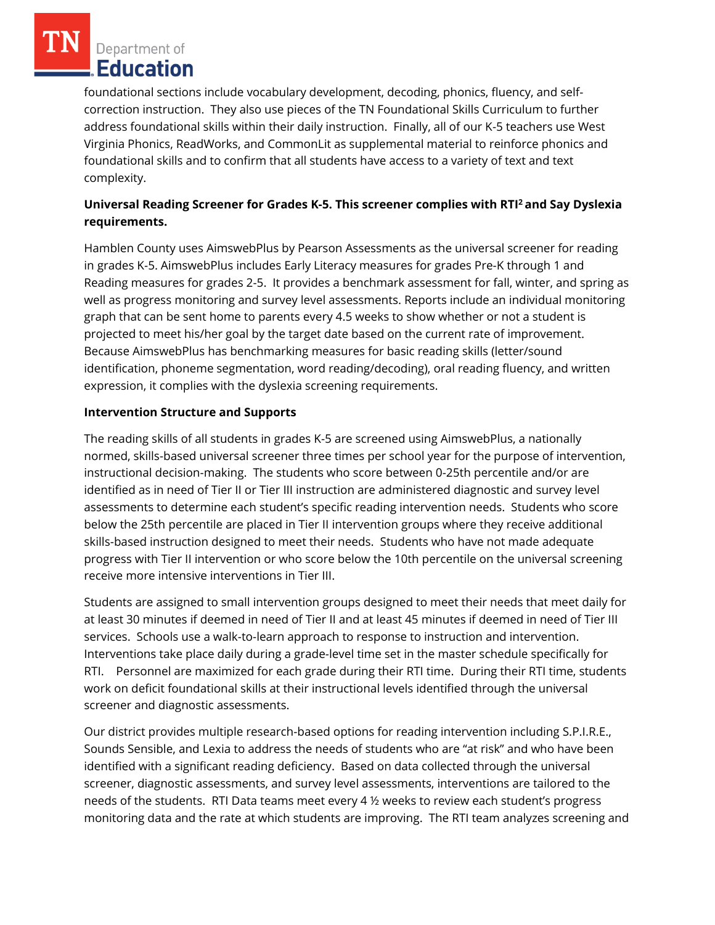foundational sections include vocabulary development, decoding, phonics, fluency, and selfcorrection instruction. They also use pieces of the TN Foundational Skills Curriculum to further address foundational skills within their daily instruction. Finally, all of our K-5 teachers use West Virginia Phonics, ReadWorks, and CommonLit as supplemental material to reinforce phonics and foundational skills and to confirm that all students have access to a variety of text and text complexity.

# **Universal Reading Screener for Grades K-5. This screener complies with RTI<sup>2</sup>and Say Dyslexia requirements.**

Hamblen County uses AimswebPlus by Pearson Assessments as the universal screener for reading in grades K-5. AimswebPlus includes Early Literacy measures for grades Pre-K through 1 and Reading measures for grades 2-5. It provides a benchmark assessment for fall, winter, and spring as well as progress monitoring and survey level assessments. Reports include an individual monitoring graph that can be sent home to parents every 4.5 weeks to show whether or not a student is projected to meet his/her goal by the target date based on the current rate of improvement. Because AimswebPlus has benchmarking measures for basic reading skills (letter/sound identification, phoneme segmentation, word reading/decoding), oral reading fluency, and written expression, it complies with the dyslexia screening requirements.

# **Intervention Structure and Supports**

The reading skills of all students in grades K-5 are screened using AimswebPlus, a nationally normed, skills-based universal screener three times per school year for the purpose of intervention, instructional decision-making. The students who score between 0-25th percentile and/or are identified as in need of Tier II or Tier III instruction are administered diagnostic and survey level assessments to determine each student's specific reading intervention needs. Students who score below the 25th percentile are placed in Tier II intervention groups where they receive additional skills-based instruction designed to meet their needs. Students who have not made adequate progress with Tier II intervention or who score below the 10th percentile on the universal screening receive more intensive interventions in Tier III.

Students are assigned to small intervention groups designed to meet their needs that meet daily for at least 30 minutes if deemed in need of Tier II and at least 45 minutes if deemed in need of Tier III services. Schools use a walk-to-learn approach to response to instruction and intervention. Interventions take place daily during a grade-level time set in the master schedule specifically for RTI. Personnel are maximized for each grade during their RTI time. During their RTI time, students work on deficit foundational skills at their instructional levels identified through the universal screener and diagnostic assessments.

Our district provides multiple research-based options for reading intervention including S.P.I.R.E., Sounds Sensible, and Lexia to address the needs of students who are "at risk" and who have been identified with a significant reading deficiency. Based on data collected through the universal screener, diagnostic assessments, and survey level assessments, interventions are tailored to the needs of the students. RTI Data teams meet every 4 ½ weeks to review each student's progress monitoring data and the rate at which students are improving. The RTI team analyzes screening and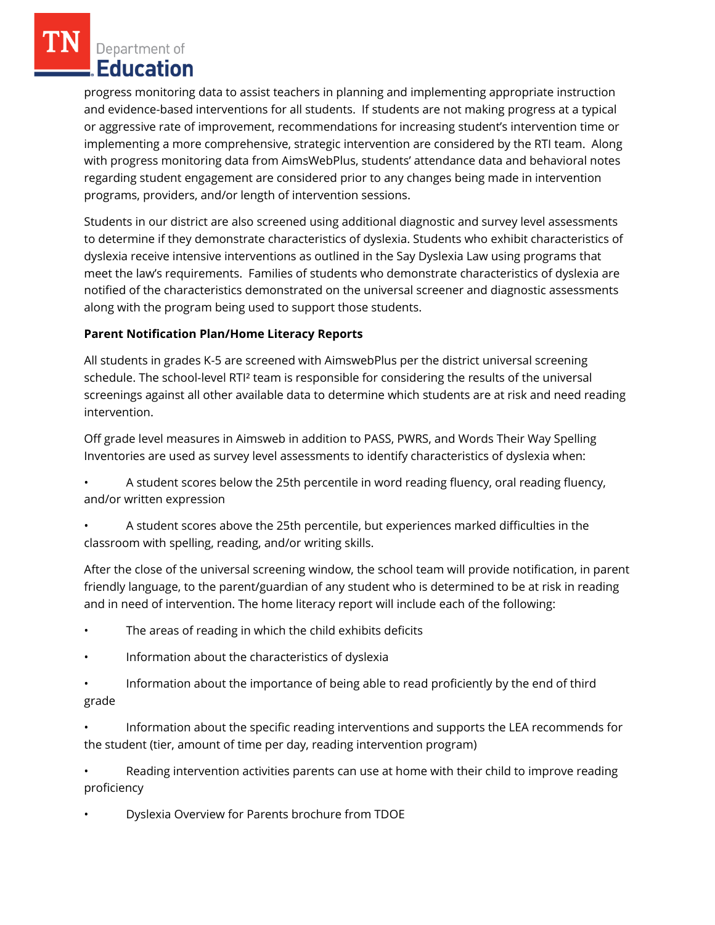progress monitoring data to assist teachers in planning and implementing appropriate instruction and evidence-based interventions for all students. If students are not making progress at a typical or aggressive rate of improvement, recommendations for increasing student's intervention time or implementing a more comprehensive, strategic intervention are considered by the RTI team. Along with progress monitoring data from AimsWebPlus, students' attendance data and behavioral notes regarding student engagement are considered prior to any changes being made in intervention programs, providers, and/or length of intervention sessions.

Students in our district are also screened using additional diagnostic and survey level assessments to determine if they demonstrate characteristics of dyslexia. Students who exhibit characteristics of dyslexia receive intensive interventions as outlined in the Say Dyslexia Law using programs that meet the law's requirements. Families of students who demonstrate characteristics of dyslexia are notified of the characteristics demonstrated on the universal screener and diagnostic assessments along with the program being used to support those students.

### **Parent Notification Plan/Home Literacy Reports**

All students in grades K-5 are screened with AimswebPlus per the district universal screening schedule. The school-level RTI² team is responsible for considering the results of the universal screenings against all other available data to determine which students are at risk and need reading intervention.

Off grade level measures in Aimsweb in addition to PASS, PWRS, and Words Their Way Spelling Inventories are used as survey level assessments to identify characteristics of dyslexia when:

• A student scores below the 25th percentile in word reading fluency, oral reading fluency, and/or written expression

• A student scores above the 25th percentile, but experiences marked difficulties in the classroom with spelling, reading, and/or writing skills.

After the close of the universal screening window, the school team will provide notification, in parent friendly language, to the parent/guardian of any student who is determined to be at risk in reading and in need of intervention. The home literacy report will include each of the following:

- The areas of reading in which the child exhibits deficits
- Information about the characteristics of dyslexia
- Information about the importance of being able to read proficiently by the end of third grade
- Information about the specific reading interventions and supports the LEA recommends for the student (tier, amount of time per day, reading intervention program)

• Reading intervention activities parents can use at home with their child to improve reading proficiency

• Dyslexia Overview for Parents brochure from TDOE